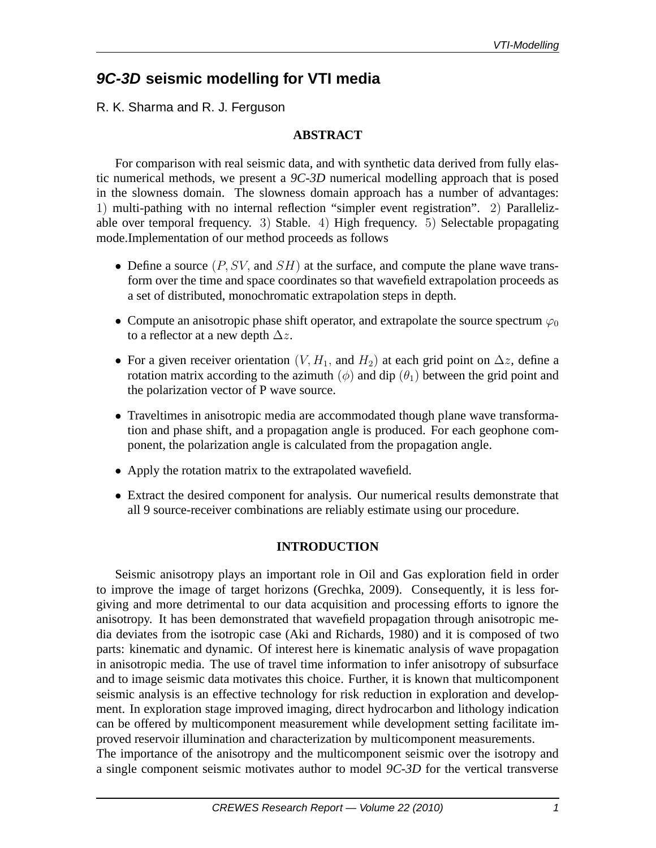# **9C-3D seismic modelling for VTI media**

R. K. Sharma and R. J. Ferguson

# **ABSTRACT**

For comparison with real seismic data, and with synthetic data derived from fully elastic numerical methods, we present a *9C-3D* numerical modelling approach that is posed in the slowness domain. The slowness domain approach has a number of advantages: 1) multi-pathing with no internal reflection "simpler event registration". 2) Parallelizable over temporal frequency. 3) Stable. 4) High frequency. 5) Selectable propagating mode.Implementation of our method proceeds as follows

- Define a source  $(P, SV, \text{ and } SH)$  at the surface, and compute the plane wave transform over the time and space coordinates so that wavefield extrapolation proceeds as a set of distributed, monochromatic extrapolation steps in depth.
- Compute an anisotropic phase shift operator, and extrapolate the source spectrum  $\varphi_0$ to a reflector at a new depth  $\Delta z$ .
- For a given receiver orientation  $(V, H_1,$  and  $H_2)$  at each grid point on  $\Delta z$ , define a rotation matrix according to the azimuth  $(\phi)$  and dip  $(\theta_1)$  between the grid point and the polarization vector of P wave source.
- Traveltimes in anisotropic media are accommodated though plane wave transformation and phase shift, and a propagation angle is produced. For each geophone component, the polarization angle is calculated from the propagation angle.
- Apply the rotation matrix to the extrapolated wavefield.
- Extract the desired component for analysis. Our numerical results demonstrate that all 9 source-receiver combinations are reliably estimate using our procedure.

## **INTRODUCTION**

Seismic anisotropy plays an important role in Oil and Gas exploration field in order to improve the image of target horizons (Grechka, 2009). Consequently, it is less forgiving and more detrimental to our data acquisition and processing efforts to ignore the anisotropy. It has been demonstrated that wavefield propagation through anisotropic media deviates from the isotropic case (Aki and Richards, 1980) and it is composed of two parts: kinematic and dynamic. Of interest here is kinematic analysis of wave propagation in anisotropic media. The use of travel time information to infer anisotropy of subsurface and to image seismic data motivates this choice. Further, it is known that multicomponent seismic analysis is an effective technology for risk reduction in exploration and development. In exploration stage improved imaging, direct hydrocarbon and lithology indication can be offered by multicomponent measurement while development setting facilitate improved reservoir illumination and characterization by multicomponent measurements. The importance of the anisotropy and the multicomponent seismic over the isotropy and a single component seismic motivates author to model *9C-3D* for the vertical transverse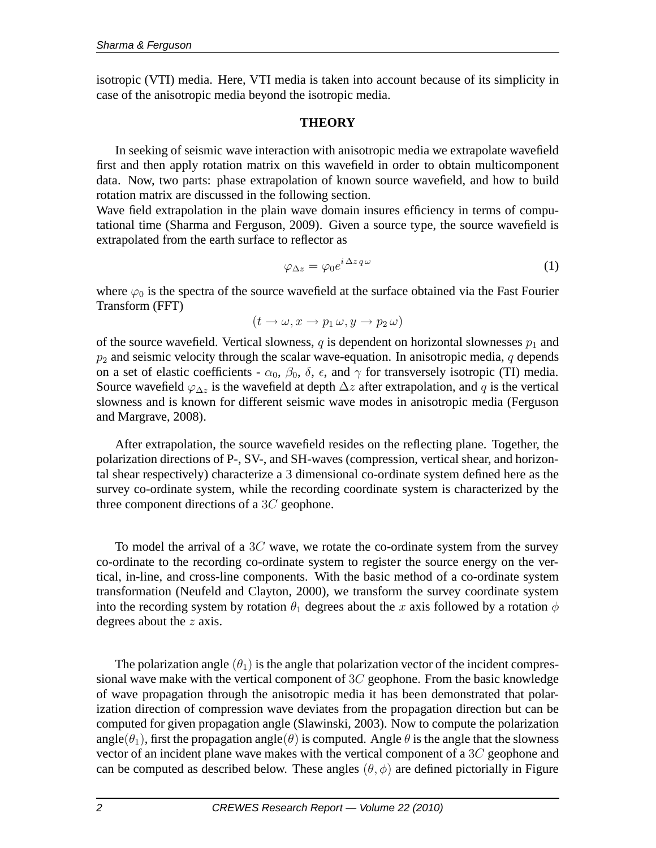isotropic (VTI) media. Here, VTI media is taken into account because of its simplicity in case of the anisotropic media beyond the isotropic media.

### **THEORY**

In seeking of seismic wave interaction with anisotropic media we extrapolate wavefield first and then apply rotation matrix on this wavefield in order to obtain multicomponent data. Now, two parts: phase extrapolation of known source wavefield, and how to build rotation matrix are discussed in the following section.

Wave field extrapolation in the plain wave domain insures efficiency in terms of computational time (Sharma and Ferguson, 2009). Given a source type, the source wavefield is extrapolated from the earth surface to reflector as

$$
\varphi_{\Delta z} = \varphi_0 e^{i\,\Delta z \,q\,\omega} \tag{1}
$$

where  $\varphi_0$  is the spectra of the source wavefield at the surface obtained via the Fast Fourier Transform (FFT)

$$
(t \to \omega, x \to p_1 \omega, y \to p_2 \omega)
$$

of the source wavefield. Vertical slowness, q is dependent on horizontal slownesses  $p_1$  and  $p_2$  and seismic velocity through the scalar wave-equation. In anisotropic media,  $q$  depends on a set of elastic coefficients -  $\alpha_0$ ,  $\beta_0$ ,  $\delta$ ,  $\epsilon$ , and  $\gamma$  for transversely isotropic (TI) media. Source wavefield  $\varphi_{\Delta z}$  is the wavefield at depth  $\Delta z$  after extrapolation, and q is the vertical slowness and is known for different seismic wave modes in anisotropic media (Ferguson and Margrave, 2008).

After extrapolation, the source wavefield resides on the reflecting plane. Together, the polarization directions of P-, SV-, and SH-waves (compression, vertical shear, and horizontal shear respectively) characterize a 3 dimensional co-ordinate system defined here as the survey co-ordinate system, while the recording coordinate system is characterized by the three component directions of a 3C geophone.

To model the arrival of a  $3C$  wave, we rotate the co-ordinate system from the survey co-ordinate to the recording co-ordinate system to register the source energy on the vertical, in-line, and cross-line components. With the basic method of a co-ordinate system transformation (Neufeld and Clayton, 2000), we transform the survey coordinate system into the recording system by rotation  $\theta_1$  degrees about the x axis followed by a rotation  $\phi$ degrees about the  $z$  axis.

The polarization angle  $(\theta_1)$  is the angle that polarization vector of the incident compressional wave make with the vertical component of  $3C$  geophone. From the basic knowledge of wave propagation through the anisotropic media it has been demonstrated that polarization direction of compression wave deviates from the propagation direction but can be computed for given propagation angle (Slawinski, 2003). Now to compute the polarization angle( $\theta_1$ ), first the propagation angle( $\theta$ ) is computed. Angle  $\theta$  is the angle that the slowness vector of an incident plane wave makes with the vertical component of a 3C geophone and can be computed as described below. These angles  $(\theta, \phi)$  are defined pictorially in Figure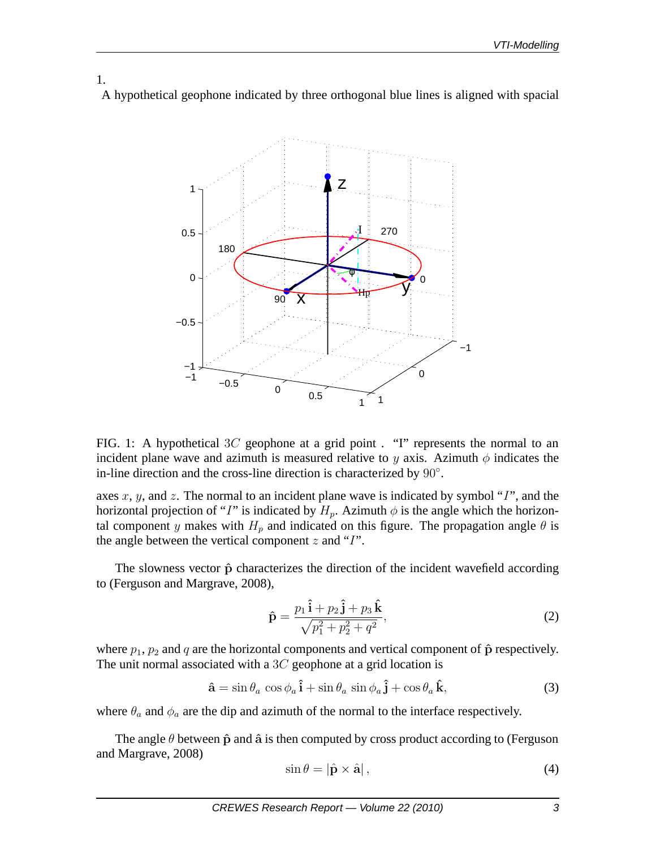1. A hypothetical geophone indicated by three orthogonal blue lines is aligned with spacial



FIG. 1: A hypothetical 3C geophone at a grid point . "I" represents the normal to an incident plane wave and azimuth is measured relative to y axis. Azimuth  $\phi$  indicates the in-line direction and the cross-line direction is characterized by 90◦ .

axes  $x, y$ , and  $z$ . The normal to an incident plane wave is indicated by symbol "I", and the horizontal projection of "I" is indicated by  $H_p$ . Azimuth  $\phi$  is the angle which the horizontal component y makes with  $H_p$  and indicated on this figure. The propagation angle  $\theta$  is the angle between the vertical component  $z$  and "I".

The slowness vector  $\hat{p}$  characterizes the direction of the incident wavefield according to (Ferguson and Margrave, 2008),

$$
\hat{\mathbf{p}} = \frac{p_1 \,\hat{\mathbf{i}} + p_2 \,\hat{\mathbf{j}} + p_3 \,\hat{\mathbf{k}}}{\sqrt{p_1^2 + p_2^2 + q^2}},\tag{2}
$$

where  $p_1$ ,  $p_2$  and q are the horizontal components and vertical component of  $\hat{p}$  respectively. The unit normal associated with a  $3C$  geophone at a grid location is

$$
\hat{\mathbf{a}} = \sin \theta_a \cos \phi_a \hat{\mathbf{i}} + \sin \theta_a \sin \phi_a \hat{\mathbf{j}} + \cos \theta_a \hat{\mathbf{k}},
$$
\n(3)

where  $\theta_a$  and  $\phi_a$  are the dip and azimuth of the normal to the interface respectively.

The angle  $\theta$  between  $\hat{p}$  and  $\hat{a}$  is then computed by cross product according to (Ferguson and Margrave, 2008)

$$
\sin \theta = |\hat{\mathbf{p}} \times \hat{\mathbf{a}}|,\tag{4}
$$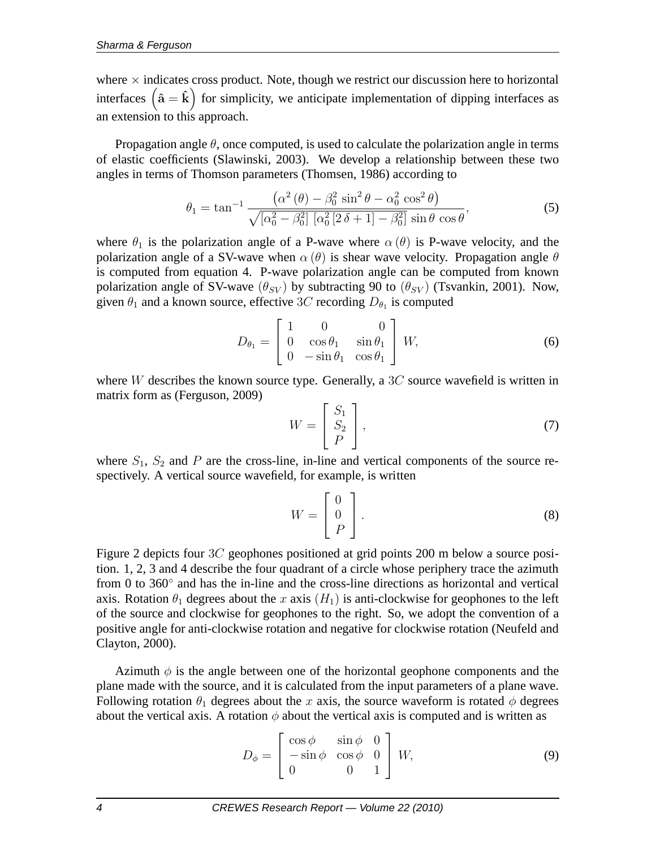where  $\times$  indicates cross product. Note, though we restrict our discussion here to horizontal interfaces  $(\hat{a} = \hat{k})$  for simplicity, we anticipate implementation of dipping interfaces as an extension to this approach.

Propagation angle  $\theta$ , once computed, is used to calculate the polarization angle in terms of elastic coefficients (Slawinski, 2003). We develop a relationship between these two angles in terms of Thomson parameters (Thomsen, 1986) according to

$$
\theta_1 = \tan^{-1} \frac{\left(\alpha^2 \left(\theta\right) - \beta_0^2 \sin^2 \theta - \alpha_0^2 \cos^2 \theta\right)}{\sqrt{\left[\alpha_0^2 - \beta_0^2\right] \left[\alpha_0^2 \left[2 \delta + 1\right] - \beta_0^2\right]} \sin \theta \cos \theta},\tag{5}
$$

where  $\theta_1$  is the polarization angle of a P-wave where  $\alpha(\theta)$  is P-wave velocity, and the polarization angle of a SV-wave when  $\alpha(\theta)$  is shear wave velocity. Propagation angle  $\theta$ is computed from equation 4. P-wave polarization angle can be computed from known polarization angle of SV-wave  $(\theta_{SV})$  by subtracting 90 to  $(\theta_{SV})$  (Tsvankin, 2001). Now, given  $\theta_1$  and a known source, effective 3C recording  $D_{\theta_1}$  is computed

$$
D_{\theta_1} = \begin{bmatrix} 1 & 0 & 0 \\ 0 & \cos \theta_1 & \sin \theta_1 \\ 0 & -\sin \theta_1 & \cos \theta_1 \end{bmatrix} W,
$$
 (6)

where W describes the known source type. Generally, a  $3C$  source wavefield is written in matrix form as (Ferguson, 2009)

$$
W = \begin{bmatrix} S_1 \\ S_2 \\ P \end{bmatrix}, \tag{7}
$$

where  $S_1$ ,  $S_2$  and P are the cross-line, in-line and vertical components of the source respectively. A vertical source wavefield, for example, is written

$$
W = \begin{bmatrix} 0 \\ 0 \\ P \end{bmatrix} . \tag{8}
$$

Figure 2 depicts four 3C geophones positioned at grid points 200 m below a source position. 1, 2, 3 and 4 describe the four quadrant of a circle whose periphery trace the azimuth from 0 to 360◦ and has the in-line and the cross-line directions as horizontal and vertical axis. Rotation  $\theta_1$  degrees about the x axis  $(H_1)$  is anti-clockwise for geophones to the left of the source and clockwise for geophones to the right. So, we adopt the convention of a positive angle for anti-clockwise rotation and negative for clockwise rotation (Neufeld and Clayton, 2000).

Azimuth  $\phi$  is the angle between one of the horizontal geophone components and the plane made with the source, and it is calculated from the input parameters of a plane wave. Following rotation  $\theta_1$  degrees about the x axis, the source waveform is rotated  $\phi$  degrees about the vertical axis. A rotation  $\phi$  about the vertical axis is computed and is written as

$$
D_{\phi} = \begin{bmatrix} \cos \phi & \sin \phi & 0 \\ -\sin \phi & \cos \phi & 0 \\ 0 & 0 & 1 \end{bmatrix} W,
$$
 (9)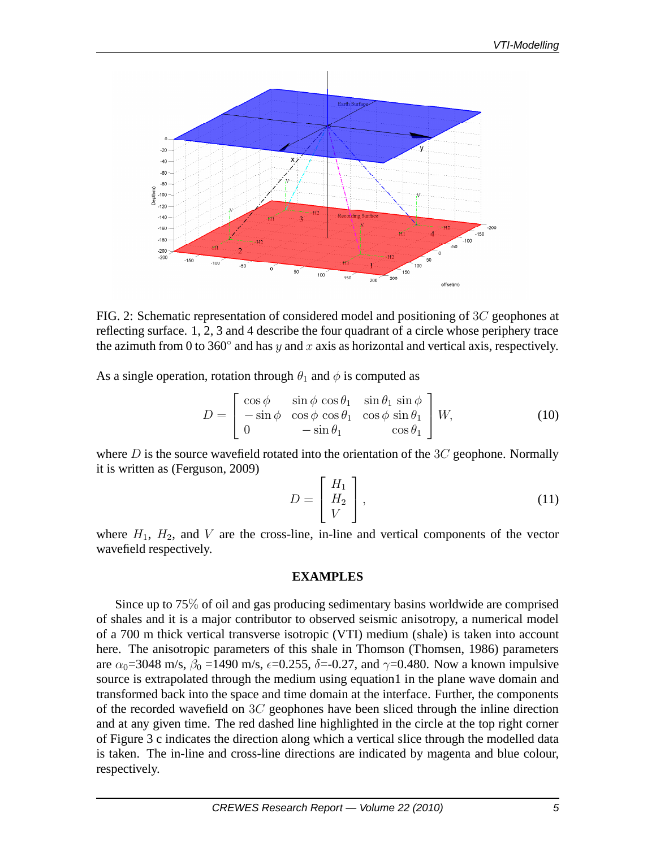

FIG. 2: Schematic representation of considered model and positioning of 3C geophones at reflecting surface. 1, 2, 3 and 4 describe the four quadrant of a circle whose periphery trace the azimuth from 0 to 360 $^{\circ}$  and has y and x axis as horizontal and vertical axis, respectively.

As a single operation, rotation through  $\theta_1$  and  $\phi$  is computed as

$$
D = \begin{bmatrix} \cos \phi & \sin \phi & \cos \theta_1 & \sin \theta_1 & \sin \phi \\ -\sin \phi & \cos \phi & \cos \theta_1 & \cos \phi & \sin \theta_1 \\ 0 & -\sin \theta_1 & \cos \theta_1 \end{bmatrix} W,
$$
 (10)

where D is the source wavefield rotated into the orientation of the  $3C$  geophone. Normally it is written as (Ferguson, 2009)

$$
D = \begin{bmatrix} H_1 \\ H_2 \\ V \end{bmatrix}, \tag{11}
$$

where  $H_1$ ,  $H_2$ , and V are the cross-line, in-line and vertical components of the vector wavefield respectively.

#### **EXAMPLES**

Since up to 75% of oil and gas producing sedimentary basins worldwide are comprised of shales and it is a major contributor to observed seismic anisotropy, a numerical model of a 700 m thick vertical transverse isotropic (VTI) medium (shale) is taken into account here. The anisotropic parameters of this shale in Thomson (Thomsen, 1986) parameters are  $\alpha_0$ =3048 m/s,  $\beta_0$  =1490 m/s,  $\epsilon$ =0.255,  $\delta$ =-0.27, and  $\gamma$ =0.480. Now a known impulsive source is extrapolated through the medium using equation1 in the plane wave domain and transformed back into the space and time domain at the interface. Further, the components of the recorded wavefield on  $3C$  geophones have been sliced through the inline direction and at any given time. The red dashed line highlighted in the circle at the top right corner of Figure 3 c indicates the direction along which a vertical slice through the modelled data is taken. The in-line and cross-line directions are indicated by magenta and blue colour, respectively.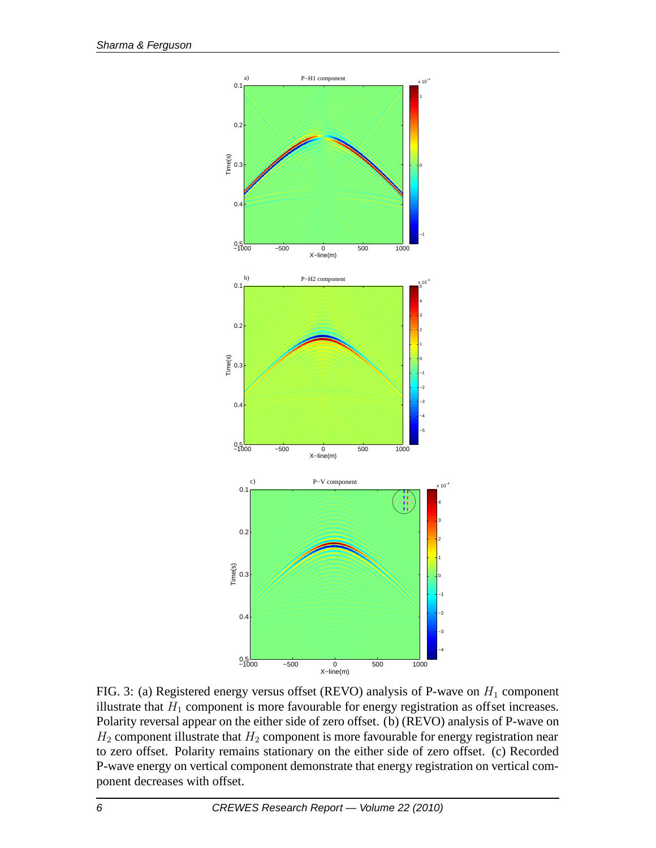

FIG. 3: (a) Registered energy versus offset (REVO) analysis of P-wave on  $H_1$  component illustrate that  $H_1$  component is more favourable for energy registration as offset increases. Polarity reversal appear on the either side of zero offset. (b) (REVO) analysis of P-wave on  $H_2$  component illustrate that  $H_2$  component is more favourable for energy registration near to zero offset. Polarity remains stationary on the either side of zero offset. (c) Recorded P-wave energy on vertical component demonstrate that energy registration on vertical component decreases with offset.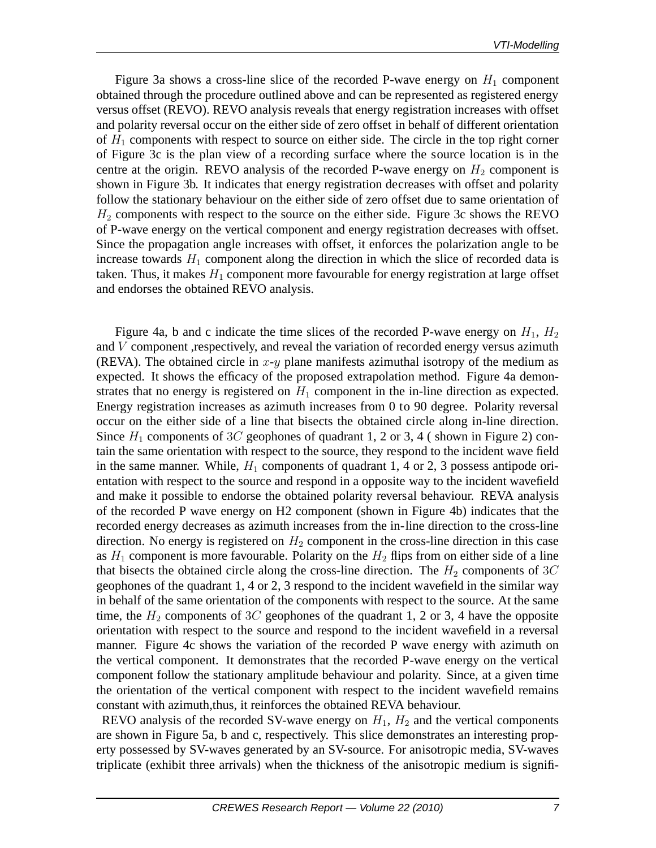Figure 3a shows a cross-line slice of the recorded P-wave energy on  $H_1$  component obtained through the procedure outlined above and can be represented as registered energy versus offset (REVO). REVO analysis reveals that energy registration increases with offset and polarity reversal occur on the either side of zero offset in behalf of different orientation of  $H_1$  components with respect to source on either side. The circle in the top right corner of Figure 3c is the plan view of a recording surface where the source location is in the centre at the origin. REVO analysis of the recorded P-wave energy on  $H_2$  component is shown in Figure 3b. It indicates that energy registration decreases with offset and polarity follow the stationary behaviour on the either side of zero offset due to same orientation of  $H<sub>2</sub>$  components with respect to the source on the either side. Figure 3c shows the REVO of P-wave energy on the vertical component and energy registration decreases with offset. Since the propagation angle increases with offset, it enforces the polarization angle to be increase towards  $H_1$  component along the direction in which the slice of recorded data is taken. Thus, it makes  $H_1$  component more favourable for energy registration at large offset and endorses the obtained REVO analysis.

Figure 4a, b and c indicate the time slices of the recorded P-wave energy on  $H_1$ ,  $H_2$ and  $V$  component , respectively, and reveal the variation of recorded energy versus azimuth (REVA). The obtained circle in  $x-y$  plane manifests azimuthal isotropy of the medium as expected. It shows the efficacy of the proposed extrapolation method. Figure 4a demonstrates that no energy is registered on  $H_1$  component in the in-line direction as expected. Energy registration increases as azimuth increases from 0 to 90 degree. Polarity reversal occur on the either side of a line that bisects the obtained circle along in-line direction. Since  $H_1$  components of 3C geophones of quadrant 1, 2 or 3, 4 (shown in Figure 2) contain the same orientation with respect to the source, they respond to the incident wave field in the same manner. While,  $H_1$  components of quadrant 1, 4 or 2, 3 possess antipode orientation with respect to the source and respond in a opposite way to the incident wavefield and make it possible to endorse the obtained polarity reversal behaviour. REVA analysis of the recorded P wave energy on H2 component (shown in Figure 4b) indicates that the recorded energy decreases as azimuth increases from the in-line direction to the cross-line direction. No energy is registered on  $H_2$  component in the cross-line direction in this case as  $H_1$  component is more favourable. Polarity on the  $H_2$  flips from on either side of a line that bisects the obtained circle along the cross-line direction. The  $H_2$  components of 3C geophones of the quadrant 1, 4 or 2, 3 respond to the incident wavefield in the similar way in behalf of the same orientation of the components with respect to the source. At the same time, the  $H_2$  components of 3C geophones of the quadrant 1, 2 or 3, 4 have the opposite orientation with respect to the source and respond to the incident wavefield in a reversal manner. Figure 4c shows the variation of the recorded P wave energy with azimuth on the vertical component. It demonstrates that the recorded P-wave energy on the vertical component follow the stationary amplitude behaviour and polarity. Since, at a given time the orientation of the vertical component with respect to the incident wavefield remains constant with azimuth,thus, it reinforces the obtained REVA behaviour.

REVO analysis of the recorded SV-wave energy on  $H_1$ ,  $H_2$  and the vertical components are shown in Figure 5a, b and c, respectively. This slice demonstrates an interesting property possessed by SV-waves generated by an SV-source. For anisotropic media, SV-waves triplicate (exhibit three arrivals) when the thickness of the anisotropic medium is signifi-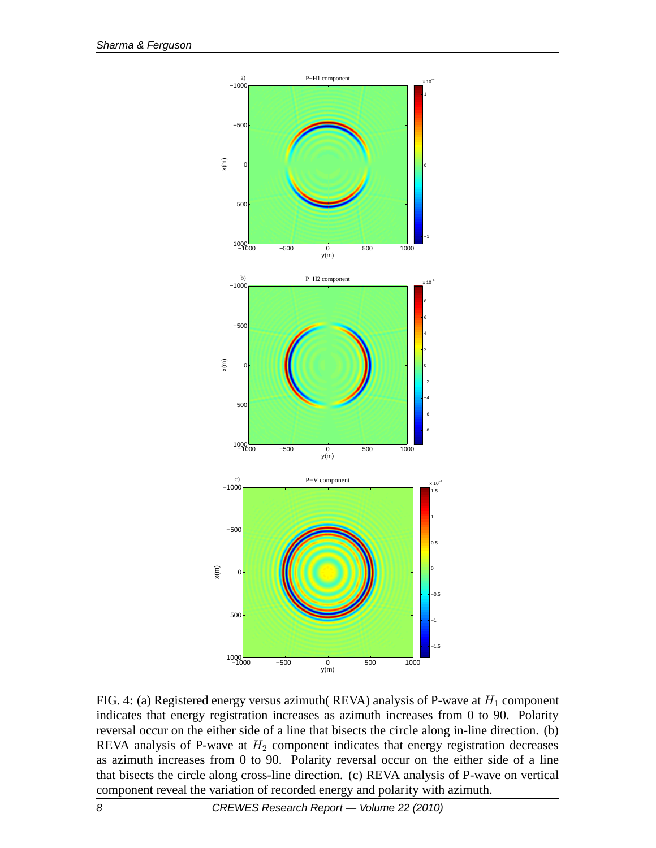

FIG. 4: (a) Registered energy versus azimuth( REVA) analysis of P-wave at  $H_1$  component indicates that energy registration increases as azimuth increases from 0 to 90. Polarity reversal occur on the either side of a line that bisects the circle along in-line direction. (b) REVA analysis of P-wave at  $H_2$  component indicates that energy registration decreases as azimuth increases from 0 to 90. Polarity reversal occur on the either side of a line that bisects the circle along cross-line direction. (c) REVA analysis of P-wave on vertical component reveal the variation of recorded energy and polarity with azimuth.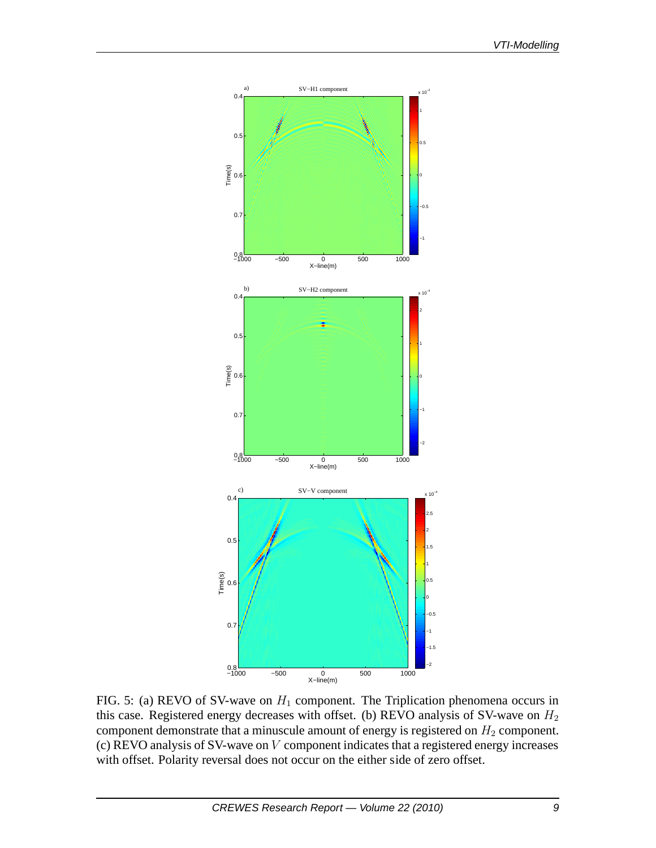

FIG. 5: (a) REVO of SV-wave on  $H_1$  component. The Triplication phenomena occurs in this case. Registered energy decreases with offset. (b) REVO analysis of SV-wave on  $H_2$ component demonstrate that a minuscule amount of energy is registered on  $H_2$  component. (c) REVO analysis of SV-wave on  $V$  component indicates that a registered energy increases with offset. Polarity reversal does not occur on the either side of zero offset.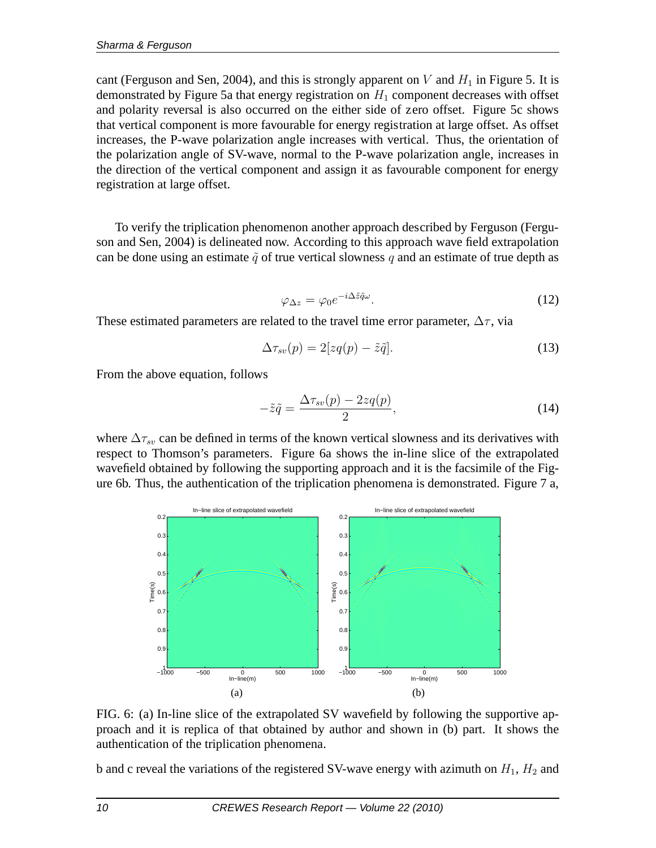cant (Ferguson and Sen, 2004), and this is strongly apparent on V and  $H_1$  in Figure 5. It is demonstrated by Figure 5a that energy registration on  $H_1$  component decreases with offset and polarity reversal is also occurred on the either side of zero offset. Figure 5c shows that vertical component is more favourable for energy registration at large offset. As offset increases, the P-wave polarization angle increases with vertical. Thus, the orientation of the polarization angle of SV-wave, normal to the P-wave polarization angle, increases in the direction of the vertical component and assign it as favourable component for energy registration at large offset.

To verify the triplication phenomenon another approach described by Ferguson (Ferguson and Sen, 2004) is delineated now. According to this approach wave field extrapolation can be done using an estimate  $\tilde{q}$  of true vertical slowness q and an estimate of true depth as

$$
\varphi_{\Delta z} = \varphi_0 e^{-i\Delta \tilde{z}\tilde{q}\omega}.
$$
\n(12)

These estimated parameters are related to the travel time error parameter,  $\Delta \tau$ , via

$$
\Delta \tau_{sv}(p) = 2[zq(p) - \tilde{z}\tilde{q}]. \tag{13}
$$

From the above equation, follows

$$
-\tilde{z}\tilde{q} = \frac{\Delta \tau_{sv}(p) - 2zq(p)}{2},\tag{14}
$$

where  $\Delta \tau_{sv}$  can be defined in terms of the known vertical slowness and its derivatives with respect to Thomson's parameters. Figure 6a shows the in-line slice of the extrapolated wavefield obtained by following the supporting approach and it is the facsimile of the Figure 6b. Thus, the authentication of the triplication phenomena is demonstrated. Figure 7 a,



FIG. 6: (a) In-line slice of the extrapolated SV wavefield by following the supportive approach and it is replica of that obtained by author and shown in (b) part. It shows the authentication of the triplication phenomena.

b and c reveal the variations of the registered SV-wave energy with azimuth on  $H_1$ ,  $H_2$  and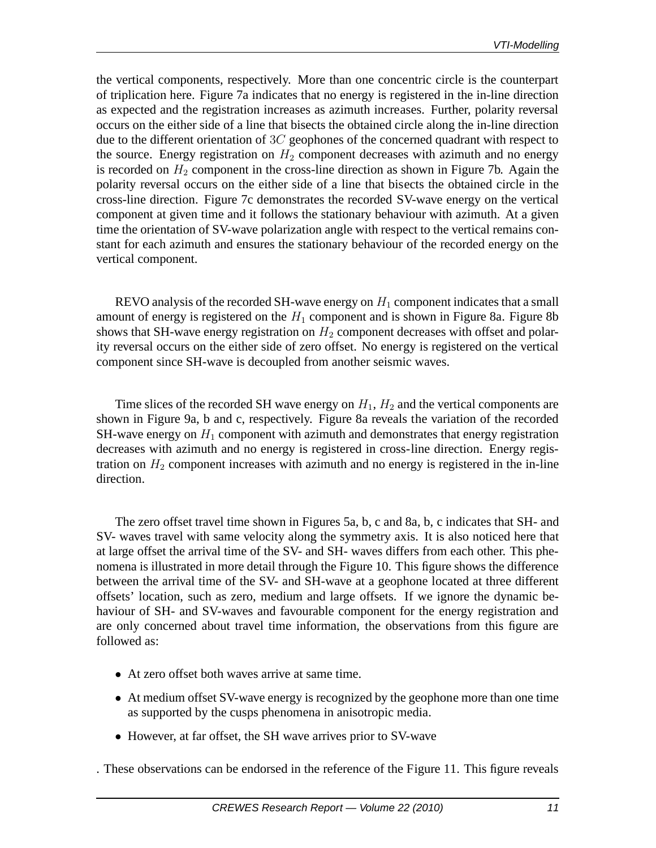the vertical components, respectively. More than one concentric circle is the counterpart of triplication here. Figure 7a indicates that no energy is registered in the in-line direction as expected and the registration increases as azimuth increases. Further, polarity reversal occurs on the either side of a line that bisects the obtained circle along the in-line direction due to the different orientation of  $3C$  geophones of the concerned quadrant with respect to the source. Energy registration on  $H_2$  component decreases with azimuth and no energy is recorded on  $H_2$  component in the cross-line direction as shown in Figure 7b. Again the polarity reversal occurs on the either side of a line that bisects the obtained circle in the cross-line direction. Figure 7c demonstrates the recorded SV-wave energy on the vertical component at given time and it follows the stationary behaviour with azimuth. At a given time the orientation of SV-wave polarization angle with respect to the vertical remains constant for each azimuth and ensures the stationary behaviour of the recorded energy on the vertical component.

REVO analysis of the recorded SH-wave energy on  $H_1$  component indicates that a small amount of energy is registered on the  $H_1$  component and is shown in Figure 8a. Figure 8b shows that SH-wave energy registration on  $H_2$  component decreases with offset and polarity reversal occurs on the either side of zero offset. No energy is registered on the vertical component since SH-wave is decoupled from another seismic waves.

Time slices of the recorded SH wave energy on  $H_1$ ,  $H_2$  and the vertical components are shown in Figure 9a, b and c, respectively. Figure 8a reveals the variation of the recorded SH-wave energy on  $H_1$  component with azimuth and demonstrates that energy registration decreases with azimuth and no energy is registered in cross-line direction. Energy registration on  $H_2$  component increases with azimuth and no energy is registered in the in-line direction.

The zero offset travel time shown in Figures 5a, b, c and 8a, b, c indicates that SH- and SV- waves travel with same velocity along the symmetry axis. It is also noticed here that at large offset the arrival time of the SV- and SH- waves differs from each other. This phenomena is illustrated in more detail through the Figure 10. This figure shows the difference between the arrival time of the SV- and SH-wave at a geophone located at three different offsets' location, such as zero, medium and large offsets. If we ignore the dynamic behaviour of SH- and SV-waves and favourable component for the energy registration and are only concerned about travel time information, the observations from this figure are followed as:

- At zero offset both waves arrive at same time.
- At medium offset SV-wave energy is recognized by the geophone more than one time as supported by the cusps phenomena in anisotropic media.
- However, at far offset, the SH wave arrives prior to SV-wave

. These observations can be endorsed in the reference of the Figure 11. This figure reveals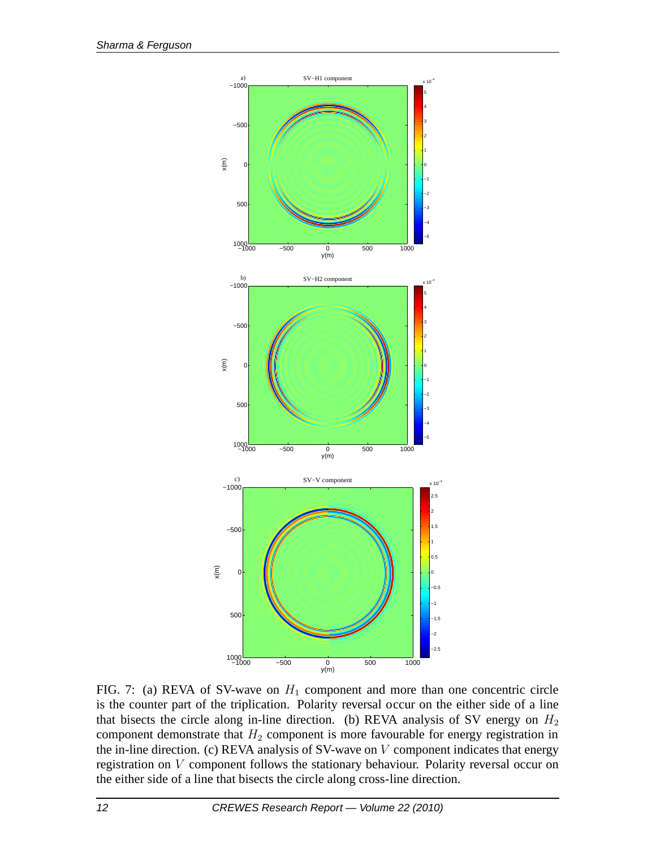

FIG. 7: (a) REVA of SV-wave on  $H_1$  component and more than one concentric circle is the counter part of the triplication. Polarity reversal occur on the either side of a line that bisects the circle along in-line direction. (b) REVA analysis of SV energy on  $H_2$ component demonstrate that  $H_2$  component is more favourable for energy registration in the in-line direction. (c) REVA analysis of SV-wave on  $V$  component indicates that energy registration on V component follows the stationary behaviour. Polarity reversal occur on the either side of a line that bisects the circle along cross-line direction.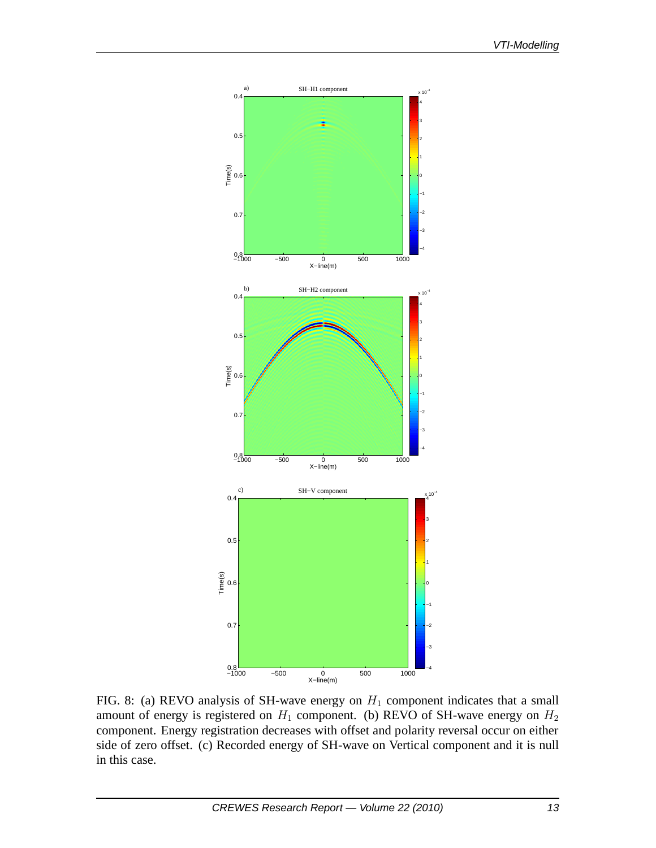

FIG. 8: (a) REVO analysis of SH-wave energy on  $H_1$  component indicates that a small amount of energy is registered on  $H_1$  component. (b) REVO of SH-wave energy on  $H_2$ component. Energy registration decreases with offset and polarity reversal occur on either side of zero offset. (c) Recorded energy of SH-wave on Vertical component and it is null in this case.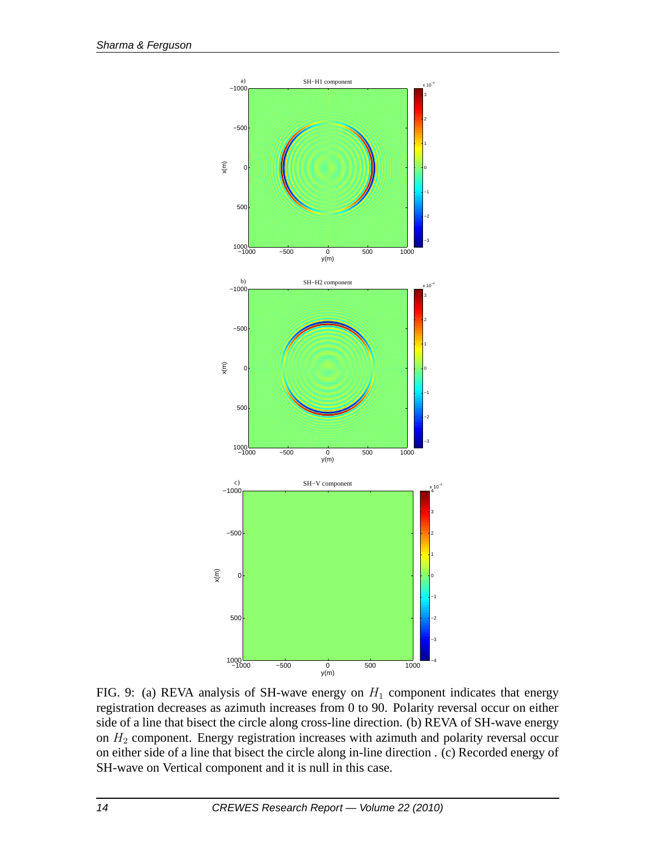

FIG. 9: (a) REVA analysis of SH-wave energy on  $H_1$  component indicates that energy registration decreases as azimuth increases from 0 to 90. Polarity reversal occur on either side of a line that bisect the circle along cross-line direction. (b) REVA of SH-wave energy on  $H_2$  component. Energy registration increases with azimuth and polarity reversal occur on either side of a line that bisect the circle along in-line direction . (c) Recorded energy of SH-wave on Vertical component and it is null in this case.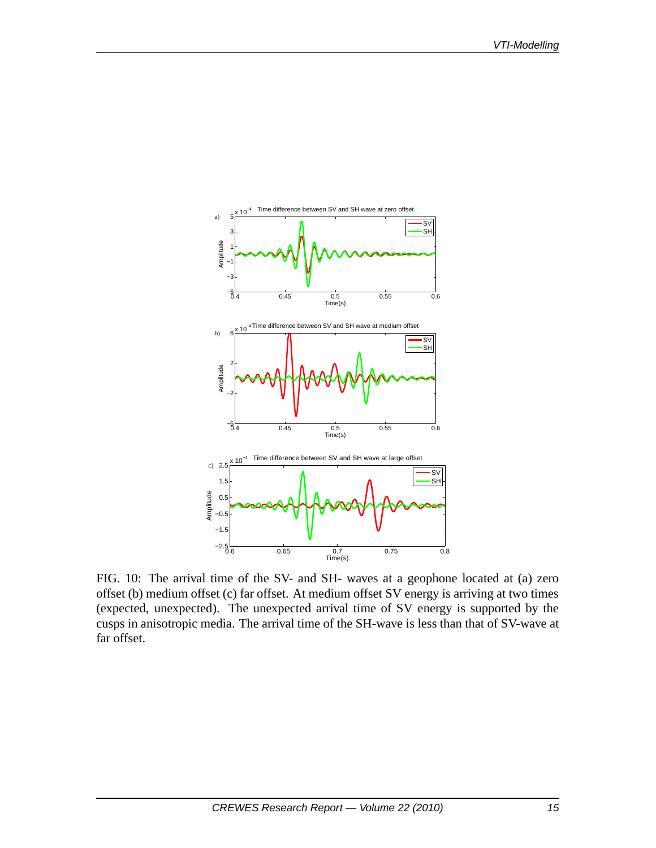

FIG. 10: The arrival time of the SV- and SH- waves at a geophone located at (a) zero offset (b) medium offset (c) far offset. At medium offset SV energy is arriving at two times (expected, unexpected). The unexpected arrival time of SV energy is supported by the cusps in anisotropic media. The arrival time of the SH-wave is less than that of SV-wave at far offset.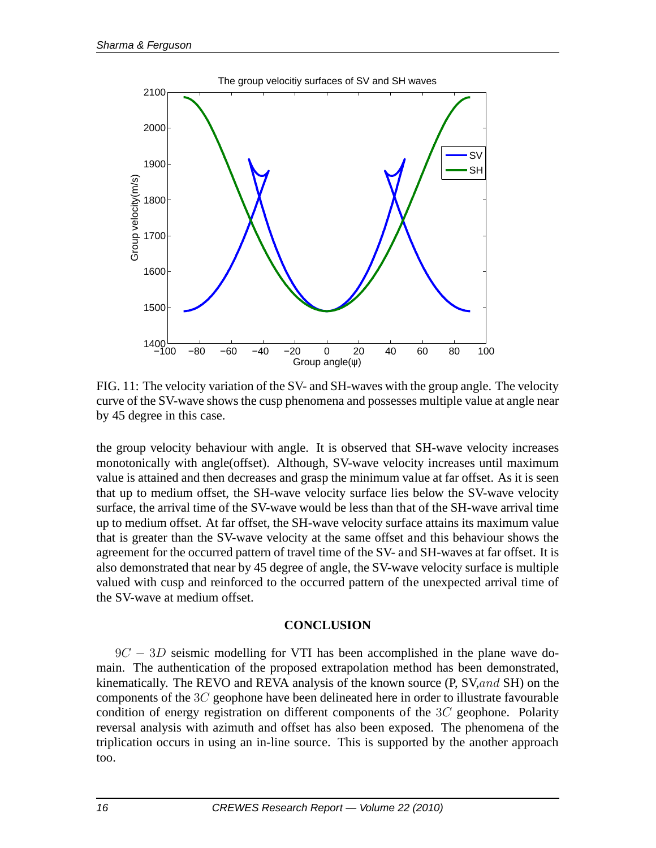

FIG. 11: The velocity variation of the SV- and SH-waves with the group angle. The velocity curve of the SV-wave shows the cusp phenomena and possesses multiple value at angle near by 45 degree in this case.

the group velocity behaviour with angle. It is observed that SH-wave velocity increases monotonically with angle(offset). Although, SV-wave velocity increases until maximum value is attained and then decreases and grasp the minimum value at far offset. As it is seen that up to medium offset, the SH-wave velocity surface lies below the SV-wave velocity surface, the arrival time of the SV-wave would be less than that of the SH-wave arrival time up to medium offset. At far offset, the SH-wave velocity surface attains its maximum value that is greater than the SV-wave velocity at the same offset and this behaviour shows the agreement for the occurred pattern of travel time of the SV- and SH-waves at far offset. It is also demonstrated that near by 45 degree of angle, the SV-wave velocity surface is multiple valued with cusp and reinforced to the occurred pattern of the unexpected arrival time of the SV-wave at medium offset.

#### **CONCLUSION**

 $9C - 3D$  seismic modelling for VTI has been accomplished in the plane wave domain. The authentication of the proposed extrapolation method has been demonstrated, kinematically. The REVO and REVA analysis of the known source (P, SV, and SH) on the components of the  $3C$  geophone have been delineated here in order to illustrate favourable condition of energy registration on different components of the  $3C$  geophone. Polarity reversal analysis with azimuth and offset has also been exposed. The phenomena of the triplication occurs in using an in-line source. This is supported by the another approach too.